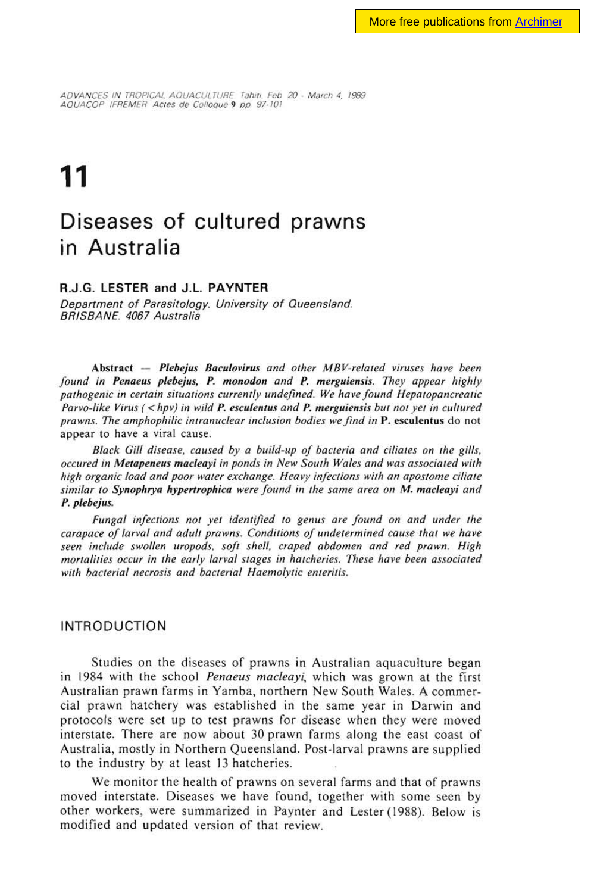ADVANCES IN TROPICAL AQUACULTURE Tahiti. Feb 20 - March 4, 1989 AQUACOP IFREMER Actes de Colloque 9 pp 97-101

# **11**

# **Diseases of cultured prawns in Australia**

## **R.J.G. LESTER and J.L. PAYNTER**

Department of Parasitology. University of Queensland. BRISBANE. 4067 Australia

Abstract — Plebejus Baculovirus and other MBV-related viruses have been found in Penaeus plebejus, P. monodon and P. merguiensis. They appear highly pathogenic in certain situations currently undefined. We have found Hepatopancreatic Parvo-like Virus  $\langle$  < hpv) in wild P. esculentus and P. merguiensis but not yet in cultured prawns. The amphophilic intranuclear inclusion bodies we find in P. esculentus do not appear to have a viral cause.

Black Gill disease, caused by a build-up of bacteria and ciliates on the gills, occured in Metapeneus macleayi in ponds in New South Wales and was associated with high organic load and poor water exchange. Heavy infections with an apostome ciliate **similar to Synophrya hypertrophica** were found in the same area on M. macleayi and P. plebejus.

Fungal infections not yet identified to genus are found on and under the carapace of larval and adult prawns. Conditions of undetermined cause that we have seen include swollen uropods, soft shell, craped abdomen and red prawn. High mortalities occur in the early larval stages in hatcheries. These have been associated with bacterial necrosis and bacterial Haemolytic enteritis.

#### INTRODUCTION

Studies on the diseases of prawns in Australian aquaculture began in 1984 with the school Penaeus macleayi, which was grown at the first Australian prawn farms in Yamba, northern New South Wales. A commercial prawn hatchery was established in the same year in Darwin and protocols were set up to test prawns for disease when they were moved interstate. There are now about 30 prawn farms along the east coast of Australia, mostly in Northern Queensland. Post-larval prawns are supplied to the industry by at least 13 hatcheries.

We monitor the health of prawns on several farms and that of prawns moved interstate. Diseases we have found, together with some seen by other workers, were summarized in Paynter and Lester (1988). Below is modified and updated version of that review.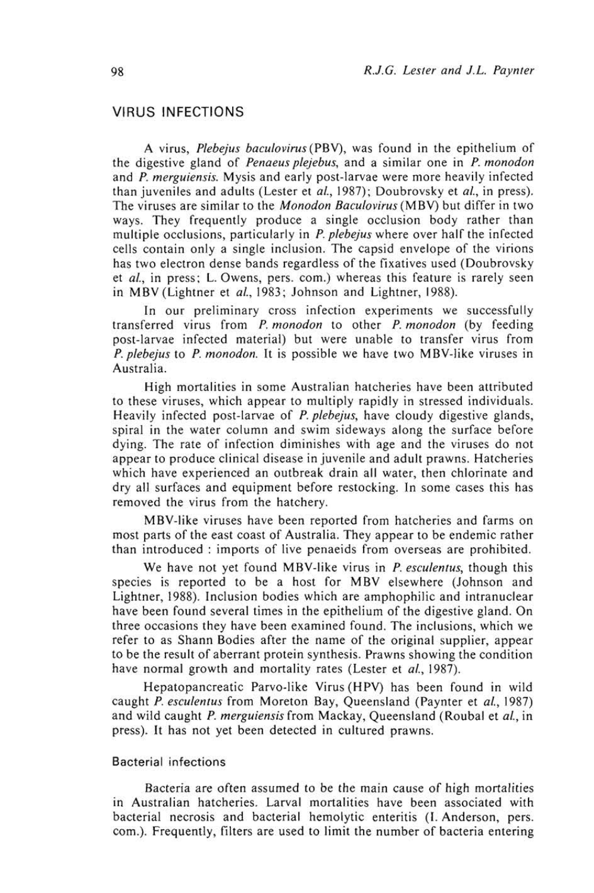# VIRUS INFECTIONS

A virus, Plebejus baculovirus (PBV), was found in the epithelium of the digestive gland of Penaeus plejebus, and a similar one in P. monodon and P. merguiensis. Mysis and early post-larvae were more heavily infected than juveniles and adults (Lester et al., 1987); Doubrovsky et al., in press). The viruses are similar to the *Monodon Baculovirus* (MBV) but differ in two ways. They frequently produce a single occlusion body rather than multiple occlusions, particularly in P. plebejus where over half the infected cells contain only a single inclusion. The capsid envelope of the virions has two electron dense bands regardless of the fixatives used (Doubrovsky et al., in press; L. Owens, pers. com.) whereas this feature is rarely seen in MBV (Lightner et al., 1983; Johnson and Lightner, 1988).

In our preliminary cross infection experiments we successfully transferred virus from P. monodon to other P. monodon (by feeding post-larvae infected material) but were unable to transfer virus from P. plebejus to P. monodon. It is possible we have two MBV-like viruses in Australia.

High mortalities in some Australian hatcheries have been attributed to these viruses, which appear to multiply rapidly in stressed individuals. Heavily infected post-larvae of *P. plebejus*, have cloudy digestive glands, spiral in the water column and swim sideways along the surface before dying. The rate of infection diminishes with age and the viruses do not appear to produce clinical disease in juvenile and adult prawns. Hatcheries which have experienced an outbreak drain all water, then chlorinate and dry all surfaces and equipment before restocking. In some cases this has removed the virus from the hatchery.

MBV-like viruses have been reported from hatcheries and farms on most parts of the east coast of Australia. They appear to be endemic rather than introduced : imports of live penaeids from overseas are prohibited.

We have not yet found MBV-like virus in *P. esculentus*, though this species is reported to be a host for MBV elsewhere (Johnson and Lightner, 1988). Inclusion bodies which are amphophilic and intranuclear have been found several times in the epithelium of the digestive gland. On three occasions they have been examined found. The inclusions, which we refer to as Shann Bodies after the name of the original supplier, appear to be the result of aberrant protein synthesis. Prawns showing the condition have normal growth and mortality rates (Lester et al., 1987).

Hepatopancreatic Parvo-like Virus (HPV) has been found in wild caught P. esculentus from Moreton Bay, Queensland (Paynter et al., 1987) and wild caught P. merguiensis from Mackay, Queensland (Roubal et al., in press). It has not yet been detected in cultured prawns.

# Bacterial infections

Bacteria are often assumed to be the main cause of high mortalities in Australian hatcheries. Larval mortalities have been associated with bacterial necrosis and bacterial hemolytic enteritis (I. Anderson, pers. com.). Frequently, filters are used to limit the number of bacteria entering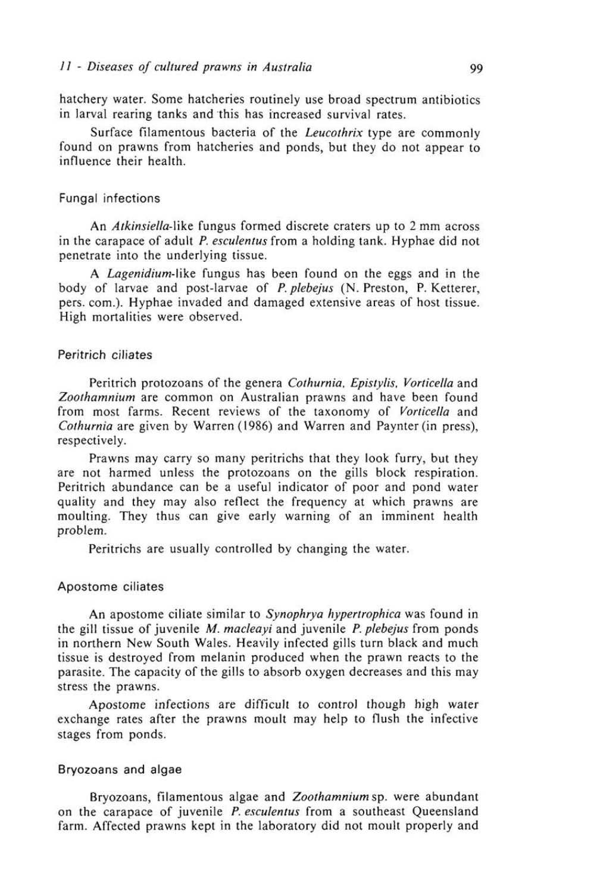hatchery water. Some hatcheries routinely use broad spectrum antibiotics in larval rearing tanks and 'this has increased survival rates.

Surface filamentous bacteria of the Leucothrix type are commonly found on prawns from hatcheries and ponds, but they do not appear to influence their health.

# Fungal infections

An Atkinsiella-like fungus formed discrete craters up to 2 mm across in the carapace of adult P. esculentus from a holding tank. Hyphae did not penetrate into the underlying tissue.

A Lagenidium-like fungus has been found on the eggs and in the body of larvae and post-larvae of P. plebejus (N. Preston, P. Ketterer, pers. corn.). Hyphae invaded and damaged extensive areas of host tissue. High mortalities were observed.

# Peritrich ciliates

Peritrich protozoans of the genera Cothurnia, Epistylis, Vorticella and Zoothamnium are common on Australian prawns and have been found from most farms. Recent reviews of the taxonomy of Vorticella and Cothurnia are given by Warren (1986) and Warren and Paynter (in press), respectively.

Prawns may carry so many peritrichs that they look furry, but they are not harmed unless the protozoans on the gills block respiration. Peritrich abundance can be a useful indicator of poor and pond water quality and they may also reflect the frequency at which prawns are moulting. They thus can give early warning of an imminent health problem.

Peritrichs are usually controlled by changing the water.

#### Apostome ciliates

An apostome ciliate similar to Synophrya hypertrophica was found in the gill tissue of juvenile M. macleayi and juvenile P. plebejus from ponds in northern New South Wales. Heavily infected gills turn black and much tissue is destroyed from melanin produced when the prawn reacts to the parasite. The capacity of the gills to absorb oxygen decreases and this may stress the prawns.

Apostome infections are difficult to control though high water exchange rates after the prawns moult may help to flush the infective stages from ponds.

#### Bryozoans and algae

Bryozoans, filamentous algae and Zoothamnium sp. were abundant on the carapace of juvenile *P. esculentus* from a southeast Queensland farm. Affected prawns kept in the laboratory did not moult properly and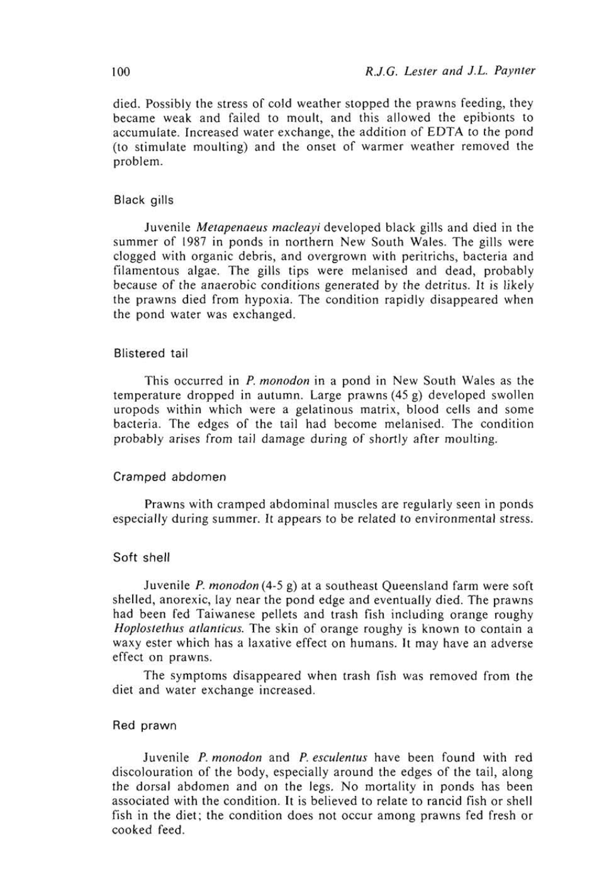died. Possibly the stress of cold weather stopped the prawns feeding, they became weak and failed to moult, and this allowed the epibionts to accumulate. Increased water exchange, the addition of EDTA to the pond (to stimulate moulting) and the onset of warmer weather removed the problem.

# Black gills

Juvenile Metapenaeus macleayi developed black gills and died in the summer of 1987 in ponds in northern New South Wales. The gills were clogged with organic debris, and overgrown with peritrichs, bacteria and filamentous algae. The gills tips were melanised and dead, probably because of the anaerobic conditions generated by the detritus. It is likely the prawns died from hypoxia. The condition rapidly disappeared when the pond water was exchanged.

## Blistered tail

This occurred in P. monodon in a pond in New South Wales as the temperature dropped in autumn. Large prawns (45 g) developed swollen uropods within which were a gelatinous matrix, blood cells and some bacteria. The edges of the tail had become melanised. The condition probably arises from tail damage during of shortly after moulting.

#### Cramped abdomen

Prawns with cramped abdominal muscles are regularly seen in ponds especially during summer. It appears to be related to environmental stress.

# Soft shell

Juvenile P. monodon (4-5 g) at a southeast Queensland farm were soft shelled, anorexic, lay near the pond edge and eventually died. The prawns had been fed Taiwanese pellets and trash fish including orange roughy Hoplostethus atlanticus. The skin of orange roughy is known to contain a waxy ester which has a laxative effect on humans. It may have an adverse effect on prawns.

The symptoms disappeared when trash fish was removed from the diet and water exchange increased.

# Red prawn

Juvenile P. monodon and P. esculentus have been found with red discolouration of the body, especially around the edges of the tail, along the dorsal abdomen and on the legs. No mortality in ponds has been associated with the condition. It is believed to relate to rancid fish or shell fish in the diet; the condition does not occur among prawns fed fresh or cooked feed.